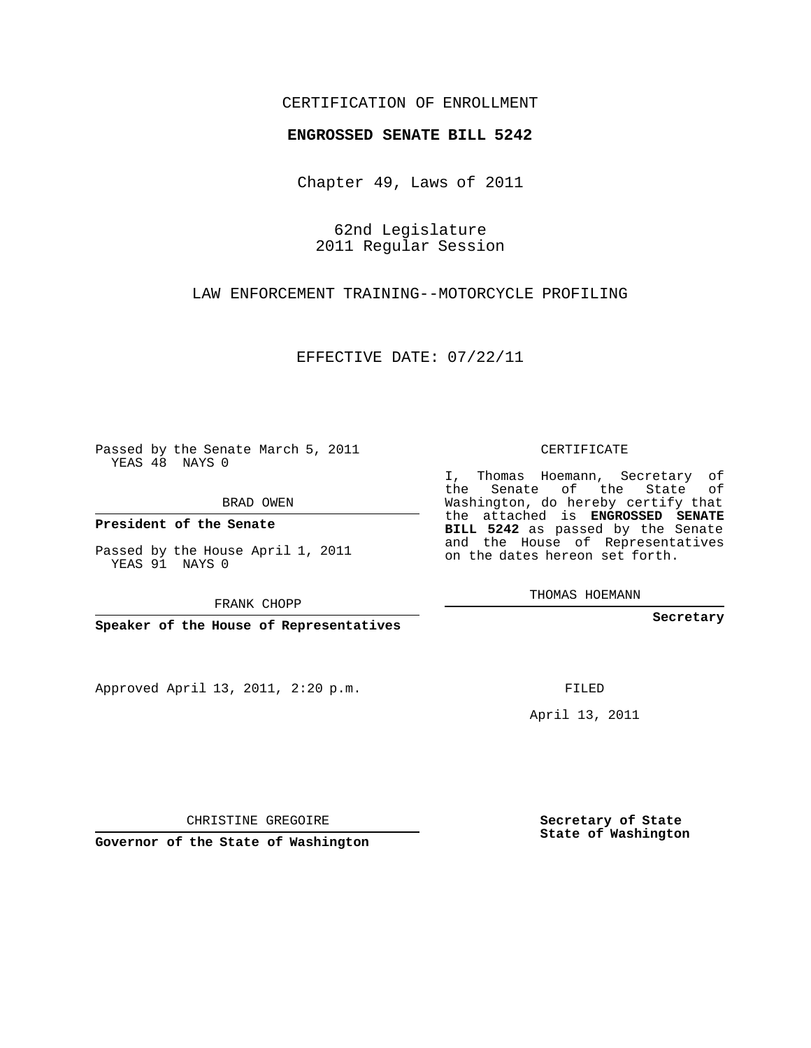## CERTIFICATION OF ENROLLMENT

## **ENGROSSED SENATE BILL 5242**

Chapter 49, Laws of 2011

62nd Legislature 2011 Regular Session

LAW ENFORCEMENT TRAINING--MOTORCYCLE PROFILING

EFFECTIVE DATE: 07/22/11

Passed by the Senate March 5, 2011 YEAS 48 NAYS 0

BRAD OWEN

**President of the Senate**

Passed by the House April 1, 2011 YEAS 91 NAYS 0

FRANK CHOPP

**Speaker of the House of Representatives**

Approved April 13, 2011, 2:20 p.m.

CERTIFICATE

I, Thomas Hoemann, Secretary of the Senate of the State of Washington, do hereby certify that the attached is **ENGROSSED SENATE BILL 5242** as passed by the Senate and the House of Representatives on the dates hereon set forth.

THOMAS HOEMANN

**Secretary**

FILED

April 13, 2011

CHRISTINE GREGOIRE

**Governor of the State of Washington**

**Secretary of State State of Washington**